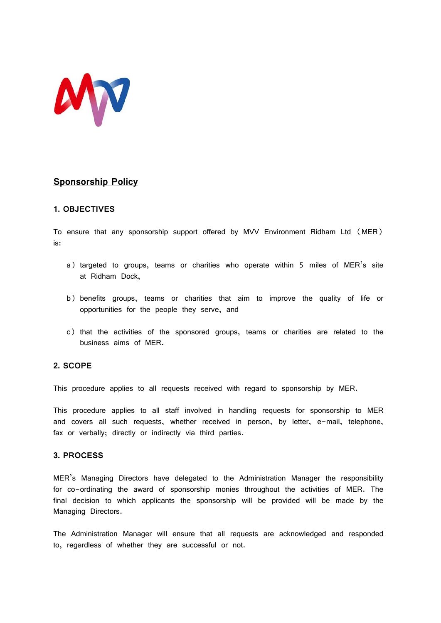

# **Sponsorship Policy**

## **1. OBJECTIVES**

To ensure that any sponsorship support offered by MVV Environment Ridham Ltd (MER) is:

- a) targeted to groups, teams or charities who operate within 5 miles of MER's site at Ridham Dock,
- b) benefits groups, teams or charities that aim to improve the quality of life or opportunities for the people they serve, and
- c) that the activities of the sponsored groups, teams or charities are related to the business aims of MER.

## **2. SCOPE**

This procedure applies to all requests received with regard to sponsorship by MER.

This procedure applies to all staff involved in handling requests for sponsorship to MER and covers all such requests, whether received in person, by letter, e-mail, telephone, fax or verbally; directly or indirectly via third parties.

## **3. PROCESS**

MER's Managing Directors have delegated to the Administration Manager the responsibility for co-ordinating the award of sponsorship monies throughout the activities of MER. The final decision to which applicants the sponsorship will be provided will be made by the Managing Directors.

The Administration Manager will ensure that all requests are acknowledged and responded to, regardless of whether they are successful or not.